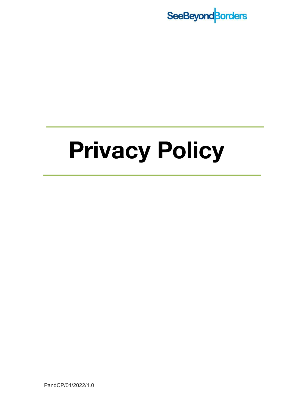**SeeBeyond Borders** 

# **Privacy Policy**

PandCP/01/2022/1.0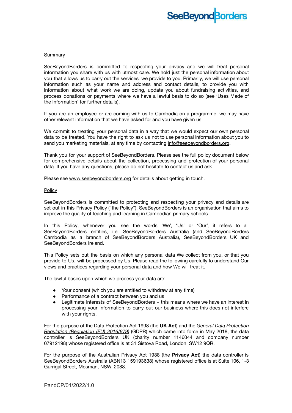

#### **Summary**

SeeBeyondBorders is committed to respecting your privacy and we will treat personal information you share with us with utmost care. We hold just the personal information about you that allows us to carry out the services we provide to you. Primarily, we will use personal information such as your name and address and contact details, to provide you with information about what work we are doing, update you about fundraising activities, and process donations or payments where we have a lawful basis to do so (see 'Uses Made of the Information' for further details).

If you are an employee or are coming with us to Cambodia on a programme, we may have other relevant information that we have asked for and you have given us.

We commit to treating your personal data in a way that we would expect our own personal data to be treated. You have the right to ask us not to use personal information about you to send you marketing materials, at any time by contacting [info@seebeyondborders.org](mailto:info@seebeyondborders.org).

Thank you for your support of SeeBeyondBorders. Please see the full policy document below for comprehensive details about the collection, processing and protection of your personal data. If you have any questions, please do not hesitate to contact us and ask.

Please see [www.seebeyondborders.org](http://www.seebeyondborders.org) for details about getting in touch.

#### **Policy**

SeeBeyondBorders is committed to protecting and respecting your privacy and details are set out in this Privacy Policy ("the Policy"). SeeBeyondBorders is an organisation that aims to improve the quality of teaching and learning in Cambodian primary schools.

In this Policy, whenever you see the words 'We', 'Us' or 'Our', it refers to all SeeBeyondBorders entities, i.e. SeeBeyondBorders Australia (and SeeBeyondBorders Cambodia as a branch of SeeBeyondBorders Australia), SeeBeyondBorders UK and SeeBeyondBorders Ireland.

This Policy sets out the basis on which any personal data We collect from you, or that you provide to Us, will be processed by Us. Please read the following carefully to understand Our views and practices regarding your personal data and how We will treat it.

The lawful bases upon which we process your data are:

- Your consent (which you are entitled to withdraw at any time)
- Performance of a contract between you and us
- Legitimate interests of SeeBeyondBorders this means where we have an interest in processing your information to carry out our business where this does not interfere with your rights.

For the purpose of the Data Protection Act 1998 (the **UK Act**) and the *General Data [Protection](https://uk.practicallaw.thomsonreuters.com/PLCCoreDocument/ViewDocument.html?navId=AACF20BB9BED7DE45F3549371482B6BD&comp=pluk&DocumentGuid=Ie887bae554de11e698dc8b09b4f043e0&ViewType=FullText&HasDraftingNotes=False&ResearchReportViewMode=False&SessionScopeIsValid=True&IsCourtWireDocument=False&IsSuperPrivateDocument=False&IsPrivateDocument=False&ClientMatter=Cobalt.Website.Platform.Web.UserData.ClientMatter&AuthenticationStrength=5&IsMedLitStubDocument=False&IsOutOfPlanDocumentViewClicked=False&TransitionType=Default&ContextData=(sc.Default)&BillingContextData=(sc.Default)) Regulation [\(Regulation](https://uk.practicallaw.thomsonreuters.com/PLCCoreDocument/ViewDocument.html?navId=AACF20BB9BED7DE45F3549371482B6BD&comp=pluk&DocumentGuid=Ie887bae554de11e698dc8b09b4f043e0&ViewType=FullText&HasDraftingNotes=False&ResearchReportViewMode=False&SessionScopeIsValid=True&IsCourtWireDocument=False&IsSuperPrivateDocument=False&IsPrivateDocument=False&ClientMatter=Cobalt.Website.Platform.Web.UserData.ClientMatter&AuthenticationStrength=5&IsMedLitStubDocument=False&IsOutOfPlanDocumentViewClicked=False&TransitionType=Default&ContextData=(sc.Default)&BillingContextData=(sc.Default)) (EU) 2016/679)* (GDPR) which came into force in May 2018, the data controller is SeeBeyondBorders UK (charity number 1146044 and company number 07912198) whose registered office is at 31 Sistova Road, London, SW12 9QR.

For the purpose of the Australian Privacy Act 1988 (the **Privacy Act**) the data controller is SeeBeyondBorders Australia (ABN13 159193638) whose registered office is at Suite 106, 1-3 Gurrigal Street, Mosman, NSW, 2088.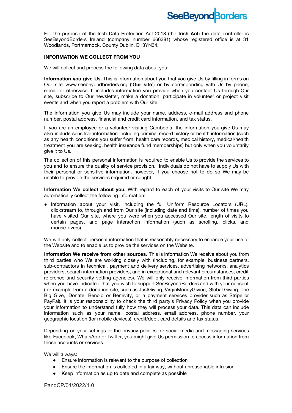

For the purpose of the Irish Data Protection Act 2018 (the **Irish Act**) the data controller is SeeBeyondBorders Ireland (company number 666381) whose registered office is at 31 Woodlands, Portmarnock, County Dublin, D13YN34.

#### **INFORMATION WE COLLECT FROM YOU**

We will collect and process the following data about you:

**Information you give Us.** This is information about you that you give Us by filling in forms on Our site [www.seebeyondborders.org](http://www.seebeyondborders.org) ('**Our site'**) or by corresponding with Us by phone, e-mail or otherwise. It includes information you provide when you contact Us through Our site, subscribe to Our newsletter, make a donation, participate in volunteer or project visit events and when you report a problem with Our site.

The information you give Us may include your name, address, e-mail address and phone number, postal address, financial and credit card information, and tax status.

If you are an employee or a volunteer visiting Cambodia, the information you give Us may also include sensitive information including criminal record history or health information (such as any health conditions you suffer from, health care records, medical history, medical/health treatment you are seeking, health insurance fund memberships) but only when you voluntarily give it to Us.

The collection of this personal information is required to enable Us to provide the services to you and to ensure the quality of service provision. Individuals do not have to supply Us with their personal or sensitive information, however, if you choose not to do so We may be unable to provide the services required or sought.

**Information We collect about you.** With regard to each of your visits to Our site We may automatically collect the following information:

● Information about your visit, including the full Uniform Resource Locators (URL), clickstream to, through and from Our site (including date and time), number of times you have visited Our site, where you were when you accessed Our site, length of visits to certain pages, and page interaction information (such as scrolling, clicks, and mouse-overs).

We will only collect personal information that is reasonably necessary to enhance your use of the Website and to enable us to provide the services on the Website.

**Information We receive from other sources.** This is information We receive about you from third parties who We are working closely with (including, for example, business partners, sub-contractors in technical, payment and delivery services, advertising networks, analytics providers, search information providers, and in exceptional and relevant circumstances, credit reference and security vetting agencies). We will only receive information from third parties when you have indicated that you wish to support SeeBeyondBorders and with your consent (for example from a donation site, such as JustGiving, VirginMoneyGiving, Global Giving, The Big Give, iDonate, Benojo or Benevity, or a payment services provider such as Stripe or PayPal). It is your responsibility to check the third party's Privacy Policy when you provide your information to understand fully how they will process your data. This data can include information such as your name, postal address, email address, phone number, your geographic location (for mobile devices), credit/debit card details and tax status.

Depending on your settings or the privacy policies for social media and messaging services like Facebook, WhatsApp or Twitter, you might give Us permission to access information from those accounts or services.

We will always:

- Ensure information is relevant to the purpose of collection
- Ensure the information is collected in a fair way, without unreasonable intrusion
- Keep information as up to date and complete as possible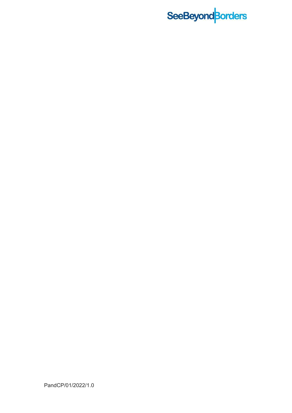# SeeBeyond Borders

PandCP/01/2022/1.0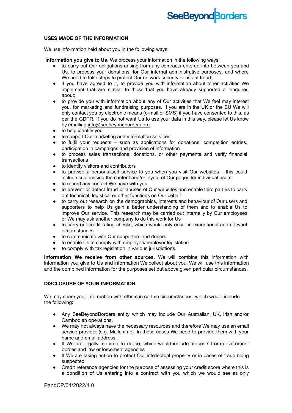

#### **USES MADE OF THE INFORMATION**

We use information held about you in the following ways:

**Information you give to Us.** We process your information in the following ways:

- to carry out Our obligations arising from any contracts entered into between you and Us, to process your donations, for Our internal administrative purposes, and where We need to take steps to protect Our network security or risk of fraud;
- if you have agreed to it, to provide you with information about other activities We implement that are similar to those that you have already supported or enquired about;
- to provide you with information about any of Our activities that We feel may interest you, for marketing and fundraising purposes. If you are in the UK or the EU We will only contact you by electronic means (e-mail or SMS) if you have consented to this, as per the GDPR. If you do not want Us to use your data in this way, please let Us know by emailing [info@seebeyondborders.org.](mailto:info@seebeyondborders.org)
- to help identify you
- to support Our marketing and information services
- to fulfil your requests such as applications for donations, competition entries, participation in campaigns and provision of information
- to process sales transactions, donations, or other payments and verify financial transactions
- to identify visitors and contributors
- to provide a personalised service to you when you visit Our websites this could include customising the content and/or layout of Our pages for individual users
- to record any contact We have with you
- to prevent or detect fraud or abuses of Our websites and enable third parties to carry out technical, logistical or other functions on Our behalf
- to carry out research on the demographics, interests and behaviour of Our users and supporters to help Us gain a better understanding of them and to enable Us to improve Our service. This research may be carried out internally by Our employees or We may ask another company to do this work for Us
- to carry out credit rating checks, which would only occur in exceptional and relevant circumstances
- to communicate with Our supporters and donors
- to enable Us to comply with employee/employer legislation
- to comply with tax legislation in various jurisdictions.

**Information We receive from other sources.** We will combine this information with information you give to Us and information We collect about you. We will use this information and the combined information for the purposes set out above given particular circumstances.

# **DISCLOSURE OF YOUR INFORMATION**

We may share your information with others in certain circumstances, which would include the following:

- Any SeeBeyondBorders entity which may include Our Australian, UK, Irish and/or Cambodian operations.
- We may not always have the necessary resources and therefore We may use an email service provider (e.g. Mailchimp). In these cases We need to provide them with your name and email address.
- If We are legally required to do so, which would include requests from government bodies and law enforcement agencies
- If We are taking action to protect Our intellectual property or in cases of fraud being suspected
- Credit reference agencies for the purpose of assessing your credit score where this is a condition of Us entering into a contract with you which we would see as only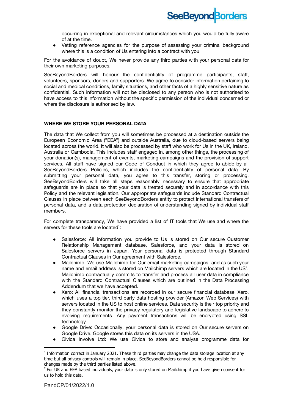

occurring in exceptional and relevant circumstances which you would be fully aware of at the time.

Vetting reference agencies for the purpose of assessing your criminal background where this is a condition of Us entering into a contract with you

For the avoidance of doubt, We never provide any third parties with your personal data for their own marketing purposes.

SeeBeyondBorders will honour the confidentiality of programme participants, staff, volunteers, sponsors, donors and supporters. We agree to consider information pertaining to social and medical conditions, family situations, and other facts of a highly sensitive nature as confidential. Such information will not be disclosed to any person who is not authorised to have access to this information without the specific permission of the individual concerned or where the disclosure is authorised by law.

#### **WHERE WE STORE YOUR PERSONAL DATA**

The data that We collect from you will sometimes be processed at a destination outside the European Economic Area ("EEA") and outside Australia, due to cloud-based servers being located across the world. It will also be processed by staff who work for Us in the UK, Ireland, Australia or Cambodia. This includes staff engaged in, among other things, the processing of your donation(s), management of events, marketing campaigns and the provision of support services. All staff have signed our Code of Conduct in which they agree to abide by all SeeBeyondBorders Policies, which includes the confidentiality of personal data. By submitting your personal data, you agree to this transfer, storing or processing. SeeBeyondBorders will take all steps reasonably necessary to ensure that appropriate safeguards are in place so that your data is treated securely and in accordance with this Policy and the relevant legislation. Our appropriate safeguards include Standard Contractual Clauses in place between each SeeBeyondBorders entity to protect international transfers of personal data, and a data protection declaration of understanding signed by individual staff members.

For complete transparency, We have provided a list of IT tools that We use and where the servers for these tools are located<sup>1</sup>:

- Salesforce: All information you provide to Us is stored on Our secure Customer Relationship Management database, Salesforce, and your data is stored on Salesforce servers in Japan. Your personal data is protected through Standard Contractual Clauses in Our agreement with Salesforce.
- Mailchimp: We use Mailchimp for Our email marketing campaigns, and as such your name and email address is stored on Mailchimp servers which are located in the US<sup>2</sup>. Mailchimp contractually commits to transfer and process all user data in compliance with the Standard Contractual Clauses which are outlined in the Data Processing Addendum that we have accepted.
- Xero: All financial transactions are recorded in our secure financial database, Xero, which uses a top tier, third party data hosting provider (Amazon Web Services) with servers located in the US to host online services. Data security is their top priority and they constantly monitor the privacy regulatory and legislative landscape to adhere to evolving requirements. Any payment transactions will be encrypted using SSL technology.
- Google Drive: Occasionally, your personal data is stored on Our secure servers on Google Drive. Google stores this data on its servers in the USA.
- Civica Involve Ltd: We use Civica to store and analyse programme data for

<sup>&</sup>lt;sup>1</sup> Information correct in January 2021. These third parties may change the data storage location at any time but all privacy controls will remain in place. SeeBeyondBorders cannot be held responsible for changes made by the third parties listed above.

 $2$  For UK and EEA based individuals, your data is only stored on Mailchimp if you have given consent for us to hold this data.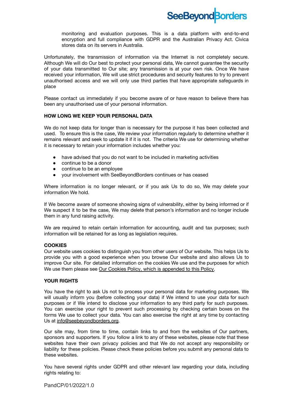

monitoring and evaluation purposes. This is a data platform with end-to-end encryption and full compliance with GDPR and the Australian Privacy Act. Civica stores data on its servers in Australia.

Unfortunately, the transmission of information via the Internet is not completely secure. Although We will do Our best to protect your personal data, We cannot guarantee the security of your data transmitted to Our site; any transmission is at your own risk. Once We have received your information, We will use strict procedures and security features to try to prevent unauthorised access and we will only use third parties that have appropriate safeguards in place

Please contact us immediately if you become aware of or have reason to believe there has been any unauthorised use of your personal information.

#### **HOW LONG WE KEEP YOUR PERSONAL DATA**

We do not keep data for longer than is necessary for the purpose it has been collected and used. To ensure this is the case, We review your information regularly to determine whether it remains relevant and seek to update it if it is not. The criteria We use for determining whether it is necessary to retain your information includes whether you:

- have advised that you do not want to be included in marketing activities
- continue to be a donor
- continue to be an employee
- your involvement with SeeBeyondBorders continues or has ceased

Where information is no longer relevant, or if you ask Us to do so, We may delete your information We hold.

If We become aware of someone showing signs of vulnerability, either by being informed or if We suspect it to be the case, We may delete that person's information and no longer include them in any fund raising activity.

We are required to retain certain information for accounting, audit and tax purposes; such information will be retained for as long as legislation requires.

#### **COOKIES**

Our website uses cookies to distinguish you from other users of Our website. This helps Us to provide you with a good experience when you browse Our website and also allows Us to improve Our site. For detailed information on the cookies We use and the purposes for which We use them please see Our Cookies Policy, which is appended to this Policy.

#### **YOUR RIGHTS**

You have the right to ask Us not to process your personal data for marketing purposes. We will usually inform you (before collecting your data) if We intend to use your data for such purposes or if We intend to disclose your information to any third party for such purposes. You can exercise your right to prevent such processing by checking certain boxes on the forms We use to collect your data. You can also exercise the right at any time by contacting Us at [info@seebeyondborders.org.](mailto:info@seebeyondborders.org)

Our site may, from time to time, contain links to and from the websites of Our partners, sponsors and supporters. If you follow a link to any of these websites, please note that these websites have their own privacy policies and that We do not accept any responsibility or liability for these policies. Please check these policies before you submit any personal data to these websites.

You have several rights under GDPR and other relevant law regarding your data, including rights relating to:

PandCP/01/2022/1.0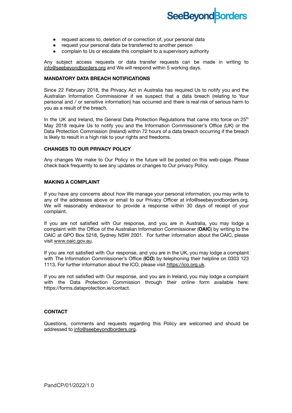

- request access to, deletion of or correction of, your personal data
- request your personal data be transferred to another person
- complain to Us or escalate this complaint to a supervisory authority

Any subject access requests or data transfer requests can be made in writing to [info@seebeyondborders.org](mailto:info@seebeyondborders.org) and We will respond within 5 working days.

#### **MANDATORY DATA BREACH NOTIFICATIONS**

Since 22 February 2018, the Privacy Act in Australia has required Us to notify you and the Australian Information Commissioner if we suspect that a data breach (relating to Your personal and / or sensitive information) has occurred and there is real risk of serious harm to you as a result of the breach.

In the UK and Ireland, the General Data Protection Regulations that came into force on 25<sup>th</sup> May 2018 require Us to notify you and the Information Commissioner's Office (UK) or the Data Protection Commission (Ireland) within 72 hours of a data breach occurring if the breach is likely to result in a high risk to your rights and freedoms.

#### **CHANGES TO OUR PRIVACY POLICY**

Any changes We make to Our Policy in the future will be posted on this web-page. Please check back frequently to see any updates or changes to Our privacy Policy.

#### **MAKING A COMPLAINT**

If you have any concerns about how We manage your personal information, you may write to any of the addresses above or email to our Privacy Officer at info@seebeyondborders.org. We will reasonably endeavour to provide a response within 30 days of receipt of your complaint.

If you are not satisfied with Our response, and you are in Australia, you may lodge a complaint with the Office of the Australian Information Commissioner (**OAIC**) by writing to the OAIC at GPO Box 5218, Sydney NSW 2001. For further information about the OAIC, please visit [www.oaic.gov.au](http://www.oaic.gov.au).

If you are not satisfied with Our response, and you are in the UK, you may lodge a complaint with The Information Commissioner's Office (**ICO**) by telephoning their helpline on 0303 123 1113. For further information about the ICO, please visit [https://ico.org.uk.](https://ico.org.uk)

If you are not satisfied with Our response, and you are in Ireland, you may lodge a complaint with the Data Protection Commission through their online form available here: https://forms.dataprotection.ie/contact.

#### **CONTACT**

Questions, comments and requests regarding this Policy are welcomed and should be addressed to [info@seebeyondborders.org.](mailto:info@seebeyondborders.org)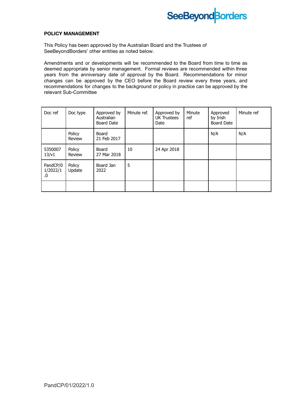

#### **POLICY MANAGEMENT**

This Policy has been approved by the Australian Board and the Trustees of SeeBeyondBorders' other entities as noted below.

Amendments and or developments will be recommended to the Board from time to time as deemed appropriate by senior management. Formal reviews are recommended within three years from the anniversary date of approval by the Board. Recommendations for minor changes can be approved by the CEO before the Board review every three years, and recommendations for changes to the background or policy in practice can be approved by the relevant Sub-Committee

| Doc ref                    | Doc type         | Approved by<br>Australian<br><b>Board Date</b> | Minute ref. | Approved by<br><b>UK Trustees</b><br>Date | Minute<br>ref | Approved<br>by Irish<br><b>Board Date</b> | Minute ref |
|----------------------------|------------------|------------------------------------------------|-------------|-------------------------------------------|---------------|-------------------------------------------|------------|
|                            | Policy<br>Review | Board<br>21 Feb 2017                           |             |                                           |               | N/A                                       | N/A        |
| 5350007<br>13/v1           | Policy<br>Review | Board<br>27 Mar 2018                           | 10          | 24 Apr 2018                               |               |                                           |            |
| PandCP/0<br>1/2022/1<br>.0 | Policy<br>Update | Board Jan<br>2022                              | 5           |                                           |               |                                           |            |
|                            |                  |                                                |             |                                           |               |                                           |            |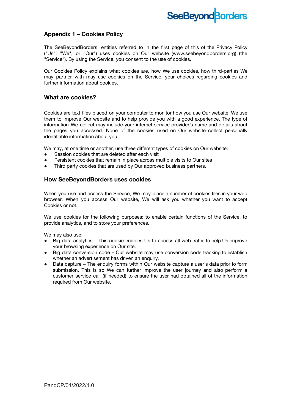

# **Appendix 1 – Cookies Policy**

The SeeBeyondBorders' entities referred to in the first page of this of the Privacy Policy ("Us", "We", or "Our") uses cookies on Our website (www.seebeyondborders.org) (the "Service"). By using the Service, you consent to the use of cookies.

Our Cookies Policy explains what cookies are, how We use cookies, how third-parties We may partner with may use cookies on the Service, your choices regarding cookies and further information about cookies.

### **What are cookies?**

Cookies are text files placed on your computer to monitor how you use Our website. We use them to improve Our website and to help provide you with a good experience. The type of information We collect may include your internet service provider's name and details about the pages you accessed. None of the cookies used on Our website collect personally identifiable information about you.

We may, at one time or another, use three different types of cookies on Our website:

- Session cookies that are deleted after each visit
- Persistent cookies that remain in place across multiple visits to Our sites
- Third party cookies that are used by Our approved business partners.

# **How SeeBeyondBorders uses cookies**

When you use and access the Service, We may place a number of cookies files in your web browser. When you access Our website, We will ask you whether you want to accept Cookies or not.

We use cookies for the following purposes: to enable certain functions of the Service, to provide analytics, and to store your preferences.

We may also use:

- Big data analytics This cookie enables Us to access all web traffic to help Us improve your browsing experience on Our site.
- Big data conversion code Our website may use conversion code tracking to establish whether an advertisement has driven an enquiry.
- Data capture The enquiry forms within Our website capture a user's data prior to form submission. This is so We can further improve the user journey and also perform a customer service call (if needed) to ensure the user had obtained all of the information required from Our website.